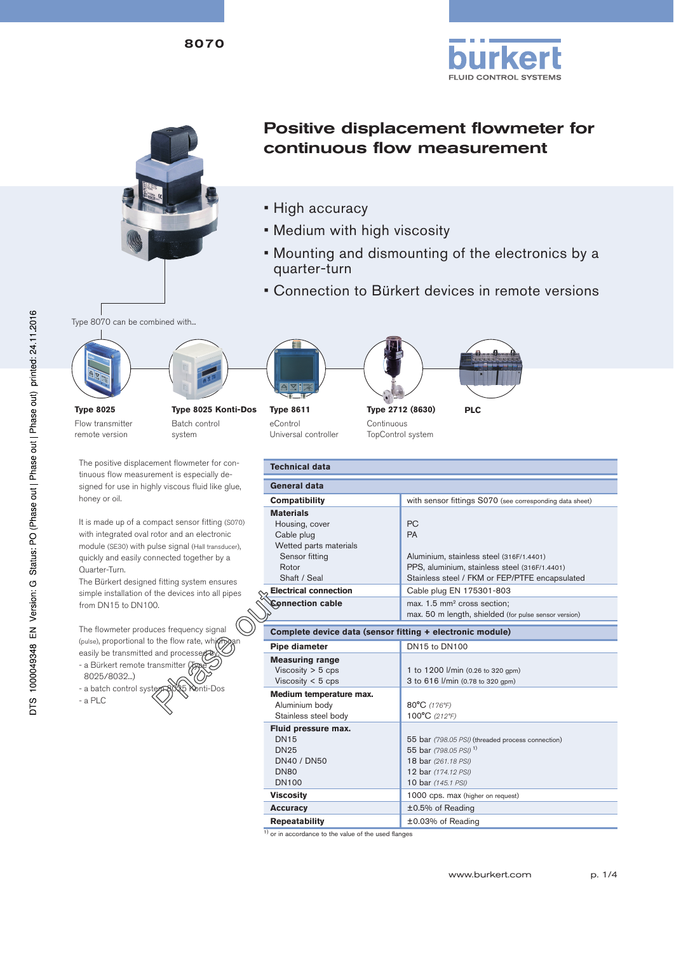8070



# Positive displacement flowmeter for continuous flow measurement

- High accuracy
- Medium with high viscosity
- Mounting and dismounting of the electronics by a quarter-turn
- Connection to Bürkert devices in remote versions

Type 8070 can be combined with...







Ī







**FLUID CONTROL SYSTEMS** 

**Type 8025** Flow transmitter remote version

**Type 8025 Konti-Dos** Batch control system

The positive displacement flowmeter for continuous flow measurement is especially designed for use in highly viscous fluid like glue, honey or oil.

It is made up of a compact sensor fitting (S070) with integrated oval rotor and an electronic module (SE30) with pulse signal (Hall transducer), quickly and easily connected together by a Quarter-Turn.

The Bürkert designed fitting system ensures simple installation of the devices into all pipes from DN15 to DN100.



| <b>Type 8611</b>     | <b>Type 2712</b> |
|----------------------|------------------|
| eControl             | Continuous       |
| Universal controller | TopControl       |

system

| <b>Technical data</b>                                                                                                                                                            |                                                                                                                                                                                                                                 |  |  |
|----------------------------------------------------------------------------------------------------------------------------------------------------------------------------------|---------------------------------------------------------------------------------------------------------------------------------------------------------------------------------------------------------------------------------|--|--|
| General data                                                                                                                                                                     |                                                                                                                                                                                                                                 |  |  |
| <b>Compatibility</b>                                                                                                                                                             | with sensor fittings S070 (see corresponding data sheet)                                                                                                                                                                        |  |  |
| <b>Materials</b><br>Housing, cover<br>Cable plug<br>Wetted parts materials<br>Sensor fitting<br>Rotor<br>Shaft / Seal<br><b>Electrical connection</b><br><b>Connection cable</b> | PC.<br>PA<br>Aluminium, stainless steel (316F/1.4401)<br>PPS, aluminium, stainless steel (316F/1.4401)<br>Stainless steel / FKM or FEP/PTFE encapsulated<br>Cable plug EN 175301-803<br>max. 1.5 mm <sup>2</sup> cross section: |  |  |
|                                                                                                                                                                                  | max. 50 m length, shielded (for pulse sensor version)                                                                                                                                                                           |  |  |
| Complete device data (sensor fitting + electronic module)                                                                                                                        |                                                                                                                                                                                                                                 |  |  |
| Pipe diameter                                                                                                                                                                    | DN15 to DN100                                                                                                                                                                                                                   |  |  |
| <b>Measuring range</b><br>Viscosity $>$ 5 cps<br>Viscosity $<$ 5 cps                                                                                                             | 1 to 1200 l/min (0.26 to 320 gpm)<br>3 to 616 l/min (0.78 to 320 gpm)                                                                                                                                                           |  |  |
| Medium temperature max.<br>Aluminium body<br>Stainless steel body                                                                                                                | 80°C (176°F)<br>100°C (212°F)                                                                                                                                                                                                   |  |  |
| Fluid pressure max.<br><b>DN15</b><br><b>DN<sub>25</sub></b><br><b>DN40 / DN50</b><br><b>DN80</b><br><b>DN100</b>                                                                | 55 bar (798.05 PSI) (threaded process connection)<br>55 bar (798.05 PSI) <sup>1)</sup><br>18 bar (261.18 PSI)<br>12 bar (174.12 PSI)<br>10 bar (145.1 PSI)                                                                      |  |  |
| <b>Viscosity</b>                                                                                                                                                                 | 1000 cps. max (higher on request)                                                                                                                                                                                               |  |  |
| <b>Accuracy</b>                                                                                                                                                                  | ±0.5% of Reading                                                                                                                                                                                                                |  |  |
| <b>Repeatability</b>                                                                                                                                                             | ±0.03% of Reading                                                                                                                                                                                                               |  |  |
|                                                                                                                                                                                  |                                                                                                                                                                                                                                 |  |  |

 $\frac{1}{1}$  or in accordance to the value of the used flanges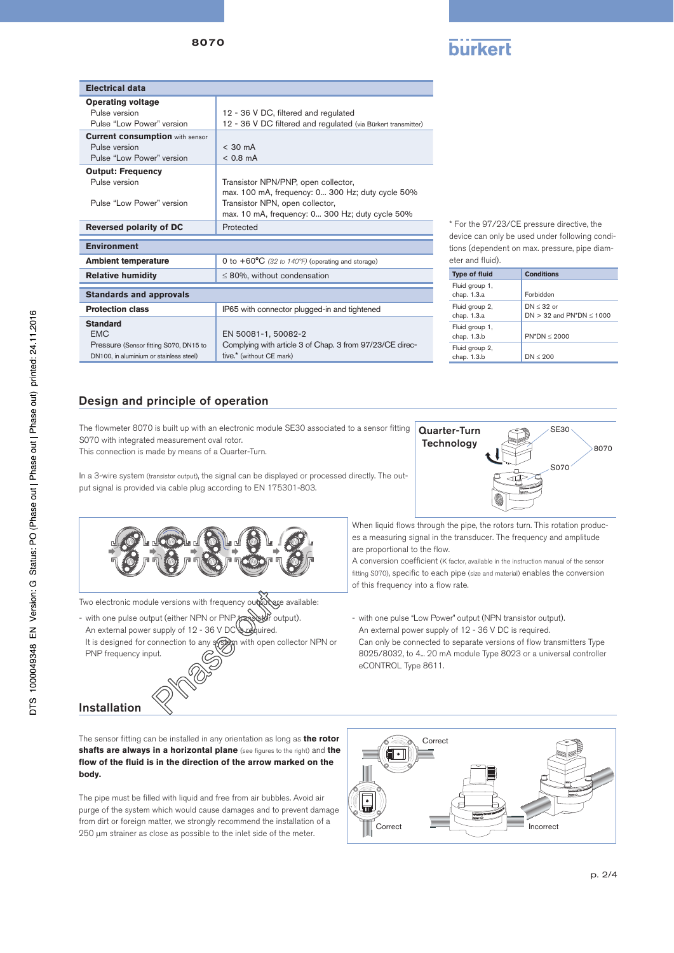| . |  |  |  |
|---|--|--|--|
|   |  |  |  |
|   |  |  |  |

| <b>Electrical data</b>                                                                                             |                                                                                                                                                                               |
|--------------------------------------------------------------------------------------------------------------------|-------------------------------------------------------------------------------------------------------------------------------------------------------------------------------|
| <b>Operating voltage</b><br>Pulse version<br>Pulse "Low Power" version                                             | 12 - 36 V DC, filtered and regulated<br>12 - 36 V DC filtered and regulated (via Bürkert transmitter)                                                                         |
| <b>Current consumption with sensor</b><br>Pulse version<br>Pulse "Low Power" version                               | $< 30 \text{ mA}$<br>$< 0.8$ mA                                                                                                                                               |
| <b>Output: Frequency</b><br>Pulse version<br>Pulse "I ow Power" version                                            | Transistor NPN/PNP, open collector,<br>max. 100 mA, frequency: 0 300 Hz; duty cycle 50%<br>Transistor NPN, open collector,<br>max. 10 mA, frequency: 0 300 Hz; duty cycle 50% |
| <b>Reversed polarity of DC</b>                                                                                     | Protected                                                                                                                                                                     |
| <b>Environment</b>                                                                                                 |                                                                                                                                                                               |
| <b>Ambient temperature</b>                                                                                         | 0 to $+60^{\circ}$ C (32 to 140°F) (operating and storage)                                                                                                                    |
| <b>Relative humidity</b>                                                                                           | $\leq$ 80%, without condensation                                                                                                                                              |
| <b>Standards and approvals</b>                                                                                     |                                                                                                                                                                               |
| <b>Protection class</b>                                                                                            | IP65 with connector plugged-in and tightened                                                                                                                                  |
| <b>Standard</b><br><b>FMC</b><br>Pressure (Sensor fitting S070, DN15 to<br>DN100, in aluminium or stainless steel) | EN 50081-1, 50082-2<br>Complying with article 3 of Chap. 3 from 97/23/CE direc-<br>tive.* (without CE mark)                                                                   |

\* For the 97/23/CE pressure directive, the device can only be used under following conditions (dependent on max. pressure, pipe diameter and fluid).

| <b>Type of fluid</b>          | <b>Conditions</b>                             |
|-------------------------------|-----------------------------------------------|
| Fluid group 1,<br>chap. 1.3.a | Forbidden                                     |
| Fluid group 2,<br>chap. 1.3.a | $DN < 32$ or<br>$DN > 32$ and $PN^*DN < 1000$ |
| Fluid group 1,<br>chap. 1.3.b | $PN^*DN < 2000$                               |
| Fluid group 2,<br>chap. 1.3.b | DN < 200                                      |

## Design and principle of operation

The flowmeter 8070 is built up with an electronic module SE30 associated to a sensor fitting S070 with integrated measurement oval rotor.

This connection is made by means of a Quarter-Turn.

In a 3-wire system (transistor output), the signal can be displayed or processed directly. The output signal is provided via cable plug according to EN 175301-803.





Two electronic module versions with frequency output are available:

- with one pulse output (either NPN or PNP transition output). An external power supply of 12 - 36 V DC supply
- It is designed for connection to any system with open collector NPN or PNP frequency input.
- When liquid flows through the pipe, the rotors turn. This rotation produces a measuring signal in the transducer. The frequency and amplitude are proportional to the flow.

A conversion coefficient (K factor, available in the instruction manual of the sensor fitting S070), specific to each pipe (size and material) enables the conversion of this frequency into a flow rate.

- with one pulse "Low Power" output (NPN transistor output). An external power supply of 12 - 36 V DC is required. Can only be connected to separate versions of flow transmitters Type 8025/8032, to 4... 20 mA module Type 8023 or a universal controller eCONTROL Type 8611.

## Installation

The sensor fitting can be installed in any orientation as long as **the rotor shafts are always in a horizontal plane** (see figures to the right) and **the flow of the fluid is in the direction of the arrow marked on the body.**

The pipe must be filled with liquid and free from air bubbles. Avoid air purge of the system which would cause damages and to prevent damage from dirt or foreign matter, we strongly recommend the installation of a 250 µm strainer as close as possible to the inlet side of the meter.

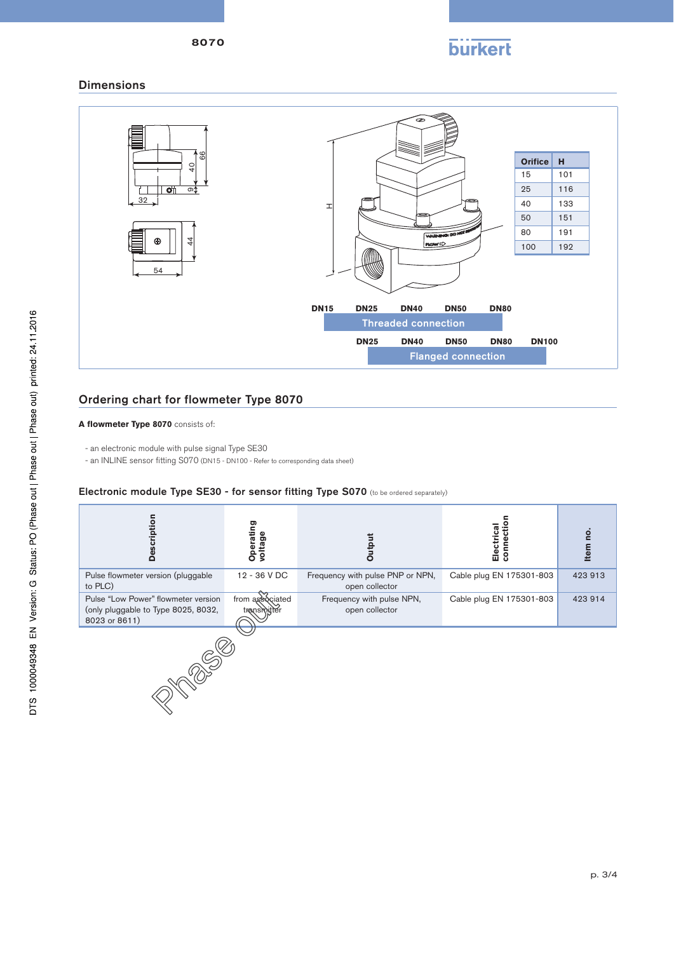

**burkert** 

#### **Dimensions**



## Ordering chart for flowmeter Type 8070

8070

#### **A flowmeter Type 8070** consists of:

- an electronic module with pulse signal Type SE30
- an INLINE sensor fitting S070 (DN15 DN100 Refer to corresponding data sheet)

#### Electronic module Type SE30 - for sensor fitting Type S070 (to be ordered separately)